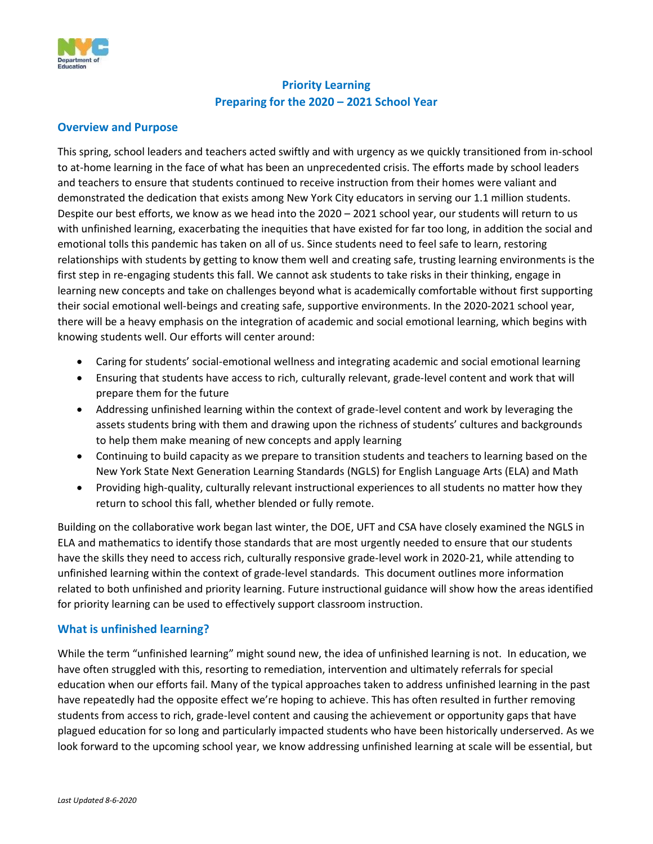

# **Priority Learning Preparing for the 2020 – 2021 School Year**

## **Overview and Purpose**

This spring, school leaders and teachers acted swiftly and with urgency as we quickly transitioned from in-school to at-home learning in the face of what has been an unprecedented crisis. The efforts made by school leaders and teachers to ensure that students continued to receive instruction from their homes were valiant and demonstrated the dedication that exists among New York City educators in serving our 1.1 million students. Despite our best efforts, we know as we head into the 2020 – 2021 school year, our students will return to us with unfinished learning, exacerbating the inequities that have existed for far too long, in addition the social and emotional tolls this pandemic has taken on all of us. Since students need to feel safe to learn, restoring relationships with students by getting to know them well and creating safe, trusting learning environments is the first step in re-engaging students this fall. We cannot ask students to take risks in their thinking, engage in learning new concepts and take on challenges beyond what is academically comfortable without first supporting their social emotional well-beings and creating safe, supportive environments. In the 2020-2021 school year, there will be a heavy emphasis on the integration of academic and social emotional learning, which begins with knowing students well. Our efforts will center around:

- Caring for students' social-emotional wellness and integrating academic and social emotional learning
- Ensuring that students have access to rich, culturally relevant, grade-level content and work that will prepare them for the future
- Addressing unfinished learning within the context of grade-level content and work by leveraging the assets students bring with them and drawing upon the richness of students' cultures and backgrounds to help them make meaning of new concepts and apply learning
- Continuing to build capacity as we prepare to transition students and teachers to learning based on the New York State Next Generation Learning Standards (NGLS) for English Language Arts (ELA) and Math
- Providing high-quality, culturally relevant instructional experiences to all students no matter how they return to school this fall, whether blended or fully remote.

Building on the collaborative work began last winter, the DOE, UFT and CSA have closely examined the NGLS in ELA and mathematics to identify those standards that are most urgently needed to ensure that our students have the skills they need to access rich, culturally responsive grade-level work in 2020-21, while attending to unfinished learning within the context of grade-level standards. This document outlines more information related to both unfinished and priority learning. Future instructional guidance will show how the areas identified for priority learning can be used to effectively support classroom instruction.

## **What is unfinished learning?**

While the term "unfinished learning" might sound new, the idea of unfinished learning is not. In education, we have often struggled with this, resorting to remediation, intervention and ultimately referrals for special education when our efforts fail. Many of the typical approaches taken to address unfinished learning in the past have repeatedly had the opposite effect we're hoping to achieve. This has often resulted in further removing students from access to rich, grade-level content and causing the achievement or opportunity gaps that have plagued education for so long and particularly impacted students who have been historically underserved. As we look forward to the upcoming school year, we know addressing unfinished learning at scale will be essential, but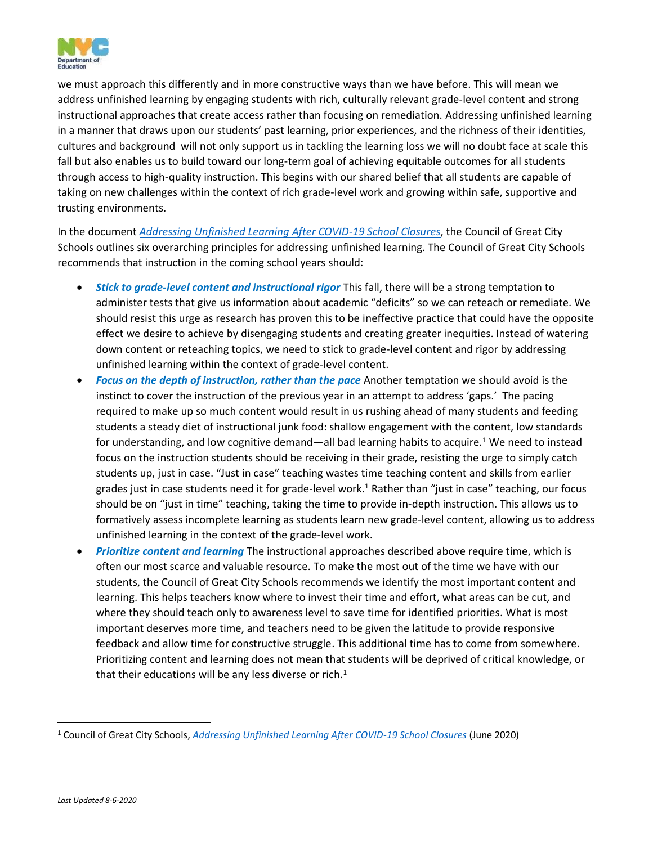

we must approach this differently and in more constructive ways than we have before. This will mean we address unfinished learning by engaging students with rich, culturally relevant grade-level content and strong instructional approaches that create access rather than focusing on remediation. Addressing unfinished learning in a manner that draws upon our students' past learning, prior experiences, and the richness of their identities, cultures and background will not only support us in tackling the learning loss we will no doubt face at scale this fall but also enables us to build toward our long-term goal of achieving equitable outcomes for all students through access to high-quality instruction. This begins with our shared belief that all students are capable of taking on new challenges within the context of rich grade-level work and growing within safe, supportive and trusting environments.

In the document *[Addressing Unfinished Learning After COVID-19 School Closures](https://www.cgcs.org/cms/lib/DC00001581/Centricity/Domain/313/CGCS_Unfinished%20Learning.pdf)*, the Council of Great City Schools outlines six overarching principles for addressing unfinished learning. The Council of Great City Schools recommends that instruction in the coming school years should:

- *Stick to grade-level content and instructional rigor* This fall, there will be a strong temptation to administer tests that give us information about academic "deficits" so we can reteach or remediate. We should resist this urge as research has proven this to be ineffective practice that could have the opposite effect we desire to achieve by disengaging students and creating greater inequities. Instead of watering down content or reteaching topics, we need to stick to grade-level content and rigor by addressing unfinished learning within the context of grade-level content.
- *Focus on the depth of instruction, rather than the pace* Another temptation we should avoid is the instinct to cover the instruction of the previous year in an attempt to address 'gaps.' The pacing required to make up so much content would result in us rushing ahead of many students and feeding students a steady diet of instructional junk food: shallow engagement with the content, low standards for understanding, and low cognitive demand—all bad learning habits to acquire.<sup>1</sup> We need to instead focus on the instruction students should be receiving in their grade, resisting the urge to simply catch students up, just in case. "Just in case" teaching wastes time teaching content and skills from earlier grades just in case students need it for grade-level work.<sup>1</sup> Rather than "just in case" teaching, our focus should be on "just in time" teaching, taking the time to provide in-depth instruction. This allows us to formatively assess incomplete learning as students learn new grade-level content, allowing us to address unfinished learning in the context of the grade-level work.
- *Prioritize content and learning* The instructional approaches described above require time, which is often our most scarce and valuable resource. To make the most out of the time we have with our students, the Council of Great City Schools recommends we identify the most important content and learning. This helps teachers know where to invest their time and effort, what areas can be cut, and where they should teach only to awareness level to save time for identified priorities. What is most important deserves more time, and teachers need to be given the latitude to provide responsive feedback and allow time for constructive struggle. This additional time has to come from somewhere. Prioritizing content and learning does not mean that students will be deprived of critical knowledge, or that their educations will be any less diverse or rich. $<sup>1</sup>$ </sup>

<sup>1</sup> Council of Great City Schools, *[Addressing Unfinished Learning After COVID-19 School Closures](https://www.cgcs.org/cms/lib/DC00001581/Centricity/Domain/313/CGCS_Unfinished%20Learning.pdf)* (June 2020)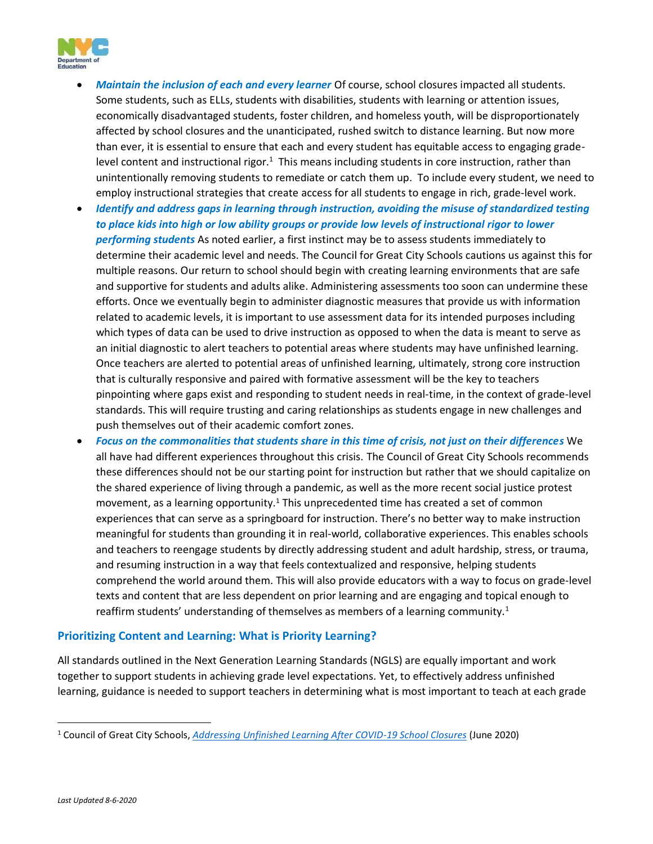

- *Maintain the inclusion of each and every learner* Of course, school closures impacted all students. Some students, such as ELLs, students with disabilities, students with learning or attention issues, economically disadvantaged students, foster children, and homeless youth, will be disproportionately affected by school closures and the unanticipated, rushed switch to distance learning. But now more than ever, it is essential to ensure that each and every student has equitable access to engaging gradelevel content and instructional rigor.<sup>1</sup> This means including students in core instruction, rather than unintentionally removing students to remediate or catch them up. To include every student, we need to employ instructional strategies that create access for all students to engage in rich, grade-level work.
- *Identify and address gaps in learning through instruction, avoiding the misuse of standardized testing to place kids into high or low ability groups or provide low levels of instructional rigor to lower performing students* As noted earlier, a first instinct may be to assess students immediately to determine their academic level and needs. The Council for Great City Schools cautions us against this for multiple reasons. Our return to school should begin with creating learning environments that are safe and supportive for students and adults alike. Administering assessments too soon can undermine these efforts. Once we eventually begin to administer diagnostic measures that provide us with information related to academic levels, it is important to use assessment data for its intended purposes including which types of data can be used to drive instruction as opposed to when the data is meant to serve as an initial diagnostic to alert teachers to potential areas where students may have unfinished learning. Once teachers are alerted to potential areas of unfinished learning, ultimately, strong core instruction that is culturally responsive and paired with formative assessment will be the key to teachers pinpointing where gaps exist and responding to student needs in real-time, in the context of grade-level standards. This will require trusting and caring relationships as students engage in new challenges and push themselves out of their academic comfort zones.
- *Focus on the commonalities that students share in this time of crisis, not just on their differences* We all have had different experiences throughout this crisis. The Council of Great City Schools recommends these differences should not be our starting point for instruction but rather that we should capitalize on the shared experience of living through a pandemic, as well as the more recent social justice protest movement, as a learning opportunity.<sup>1</sup> This unprecedented time has created a set of common experiences that can serve as a springboard for instruction. There's no better way to make instruction meaningful for students than grounding it in real-world, collaborative experiences. This enables schools and teachers to reengage students by directly addressing student and adult hardship, stress, or trauma, and resuming instruction in a way that feels contextualized and responsive, helping students comprehend the world around them. This will also provide educators with a way to focus on grade-level texts and content that are less dependent on prior learning and are engaging and topical enough to reaffirm students' understanding of themselves as members of a learning community.<sup>1</sup>

## **Prioritizing Content and Learning: What is Priority Learning?**

All standards outlined in the Next Generation Learning Standards (NGLS) are equally important and work together to support students in achieving grade level expectations. Yet, to effectively address unfinished learning, guidance is needed to support teachers in determining what is most important to teach at each grade

<sup>1</sup> Council of Great City Schools, *[Addressing Unfinished Learning After COVID-19 School Closures](https://www.cgcs.org/cms/lib/DC00001581/Centricity/Domain/313/CGCS_Unfinished%20Learning.pdf)* (June 2020)